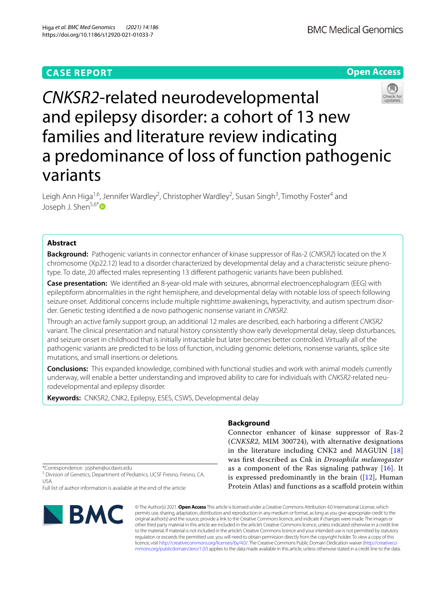## **CASE REPORT**





# *CNKSR2*-related neurodevelopmental and epilepsy disorder: a cohort of 13 new families and literature review indicating a predominance of loss of function pathogenic variants

Leigh Ann Higa<sup>1,6</sup>, Jennifer Wardley<sup>2</sup>, Christopher Wardley<sup>2</sup>, Susan Singh<sup>3</sup>, Timothy Foster<sup>4</sup> and Joseph J. Shen<sup>5,6[\\*](http://orcid.org/0000-0002-5604-7639)</sup>®

## **Abstract**

**Background:** Pathogenic variants in connector enhancer of kinase suppressor of Ras-2 (*CNKSR2*) located on the X chromosome (Xp22.12) lead to a disorder characterized by developmental delay and a characteristic seizure phenotype. To date, 20 afected males representing 13 diferent pathogenic variants have been published.

**Case presentation:** We identifed an 8-year-old male with seizures, abnormal electroencephalogram (EEG) with epileptiform abnormalities in the right hemisphere, and developmental delay with notable loss of speech following seizure onset. Additional concerns include multiple nighttime awakenings, hyperactivity, and autism spectrum disorder. Genetic testing identifed a de novo pathogenic nonsense variant in *CNKSR2.*

Through an active family support group, an additional 12 males are described, each harboring a diferent *CNKSR2* variant. The clinical presentation and natural history consistently show early developmental delay, sleep disturbances, and seizure onset in childhood that is initially intractable but later becomes better controlled. Virtually all of the pathogenic variants are predicted to be loss of function, including genomic deletions, nonsense variants, splice site mutations, and small insertions or deletions.

**Conclusions:** This expanded knowledge, combined with functional studies and work with animal models currently underway, will enable a better understanding and improved ability to care for individuals with *CNKSR2*-related neurodevelopmental and epilepsy disorder.

**Keywords:** CNKSR2, CNK2, Epilepsy, ESES, CSWS, Developmental delay

## **Background**

Connector enhancer of kinase suppressor of Ras-2 (*CNKSR2*, MIM 300724), with alternative designations in the literature including CNK2 and MAGUIN [\[18](#page-5-0)] was frst described as Cnk in *Drosophila melanogaster* as a component of the Ras signaling pathway  $[16]$  $[16]$  $[16]$ . It is expressed predominantly in the brain  $(12)$ , Human Protein Atlas) and functions as a scafold protein within

\*Correspondence: jojshen@ucdavis.edu

<sup>5</sup> Division of Genetics, Department of Pediatrics, UCSF Fresno, Fresno, CA, USA

Full list of author information is available at the end of the article



© The Author(s) 2021. **Open Access** This article is licensed under a Creative Commons Attribution 4.0 International License, which permits use, sharing, adaptation, distribution and reproduction in any medium or format, as long as you give appropriate credit to the original author(s) and the source, provide a link to the Creative Commons licence, and indicate if changes were made. The images or other third party material in this article are included in the article's Creative Commons licence, unless indicated otherwise in a credit line to the material. If material is not included in the article's Creative Commons licence and your intended use is not permitted by statutory regulation or exceeds the permitted use, you will need to obtain permission directly from the copyright holder. To view a copy of this licence, visit [http://creativecommons.org/licenses/by/4.0/.](http://creativecommons.org/licenses/by/4.0/) The Creative Commons Public Domain Dedication waiver ([http://creativeco](http://creativecommons.org/publicdomain/zero/1.0/) [mmons.org/publicdomain/zero/1.0/](http://creativecommons.org/publicdomain/zero/1.0/)) applies to the data made available in this article, unless otherwise stated in a credit line to the data.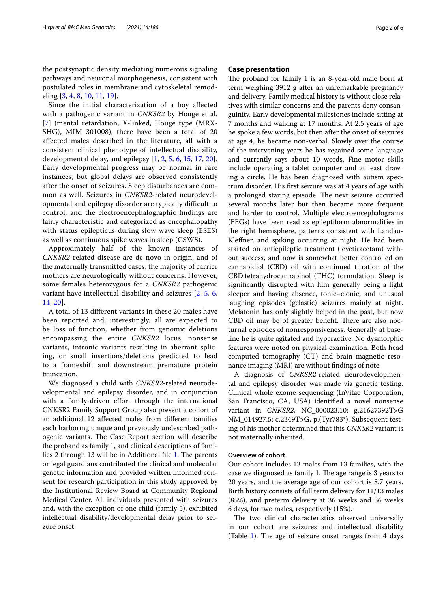the postsynaptic density mediating numerous signaling pathways and neuronal morphogenesis, consistent with postulated roles in membrane and cytoskeletal remodeling [[3,](#page-5-3) [4,](#page-5-4) [8,](#page-5-5) [10,](#page-5-6) [11,](#page-5-7) [19](#page-5-8)].

Since the initial characterization of a boy afected with a pathogenic variant in *CNKSR2* by Houge et al. [[7](#page-5-9)] (mental retardation, X-linked, Houge type (MRX-SHG), MIM 301008), there have been a total of 20 afected males described in the literature, all with a consistent clinical phenotype of intellectual disability, developmental delay, and epilepsy [\[1](#page-5-10), [2](#page-5-11), [5](#page-5-12), [6](#page-5-13), [15](#page-5-14), [17](#page-5-15), [20\]](#page-5-16). Early developmental progress may be normal in rare instances, but global delays are observed consistently after the onset of seizures. Sleep disturbances are common as well. Seizures in *CNKSR2*-related neurodevelopmental and epilepsy disorder are typically difficult to control, and the electroencephalographic fndings are fairly characteristic and categorized as encephalopathy with status epilepticus during slow wave sleep (ESES) as well as continuous spike waves in sleep (CSWS).

Approximately half of the known instances of *CNKSR2*-related disease are de novo in origin, and of the maternally transmitted cases, the majority of carrier mothers are neurologically without concerns. However, some females heterozygous for a *CNKSR2* pathogenic variant have intellectual disability and seizures [\[2](#page-5-11), [5,](#page-5-12) [6](#page-5-13), [14,](#page-5-17) [20\]](#page-5-16).

A total of 13 diferent variants in these 20 males have been reported and, interestingly, all are expected to be loss of function, whether from genomic deletions encompassing the entire *CNKSR2* locus, nonsense variants, intronic variants resulting in aberrant splicing, or small insertions/deletions predicted to lead to a frameshift and downstream premature protein truncation.

We diagnosed a child with *CNKSR2*-related neurodevelopmental and epilepsy disorder, and in conjunction with a family-driven effort through the international CNKSR2 Family Support Group also present a cohort of an additional 12 afected males from diferent families each harboring unique and previously undescribed pathogenic variants. The Case Report section will describe the proband as family 1, and clinical descriptions of fami-lies 2 through 13 will be in Additional file [1.](#page-4-0) The parents or legal guardians contributed the clinical and molecular genetic information and provided written informed consent for research participation in this study approved by the Institutional Review Board at Community Regional Medical Center. All individuals presented with seizures and, with the exception of one child (family 5), exhibited intellectual disability/developmental delay prior to seizure onset.

#### **Case presentation**

The proband for family  $1$  is an 8-year-old male born at term weighing 3912 g after an unremarkable pregnancy and delivery. Family medical history is without close relatives with similar concerns and the parents deny consanguinity. Early developmental milestones include sitting at 7 months and walking at 17 months. At 2.5 years of age he spoke a few words, but then after the onset of seizures at age 4, he became non-verbal. Slowly over the course of the intervening years he has regained some language and currently says about 10 words. Fine motor skills include operating a tablet computer and at least drawing a circle. He has been diagnosed with autism spectrum disorder. His frst seizure was at 4 years of age with a prolonged staring episode. The next seizure occurred several months later but then became more frequent and harder to control. Multiple electroencephalograms (EEGs) have been read as epileptiform abnormalities in the right hemisphere, patterns consistent with Landau-Klefner, and spiking occurring at night. He had been started on antiepileptic treatment (levetiracetam) without success, and now is somewhat better controlled on cannabidiol (CBD) oil with continued titration of the CBD:tetrahydrocannabinol (THC) formulation. Sleep is signifcantly disrupted with him generally being a light sleeper and having absence, tonic–clonic, and unusual laughing episodes (gelastic) seizures mainly at night. Melatonin has only slightly helped in the past, but now CBD oil may be of greater benefit. There are also nocturnal episodes of nonresponsiveness. Generally at baseline he is quite agitated and hyperactive. No dysmorphic features were noted on physical examination. Both head computed tomography (CT) and brain magnetic resonance imaging (MRI) are without fndings of note.

A diagnosis of *CNKSR2*-related neurodevelopmental and epilepsy disorder was made via genetic testing. Clinical whole exome sequencing (InVitae Corporation, San Francisco, CA, USA) identifed a novel nonsense variant in *CNKSR2*, NC\_000023.10: g.21627392T>G NM\_014927.5: c.2349T>G, p.(Tyr783\*). Subsequent testing of his mother determined that this *CNKSR2* variant is not maternally inherited.

#### **Overview of cohort**

Our cohort includes 13 males from 13 families, with the case we diagnosed as family 1. The age range is 3 years to 20 years, and the average age of our cohort is 8.7 years. Birth history consists of full term delivery for 11/13 males (85%), and preterm delivery at 36 weeks and 36 weeks 6 days, for two males, respectively (15%).

The two clinical characteristics observed universally in our cohort are seizures and intellectual disability (Table [1](#page-2-0)). The age of seizure onset ranges from  $4$  days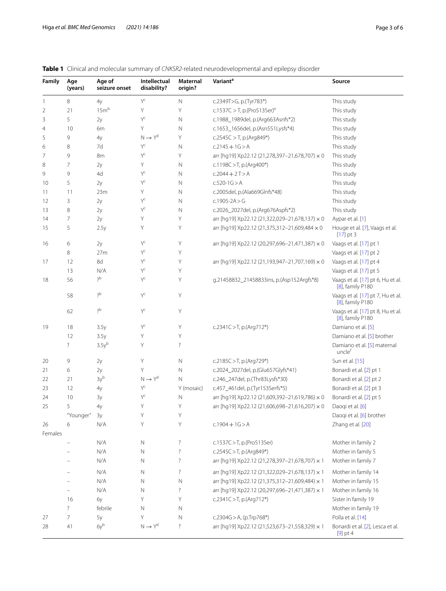## <span id="page-2-0"></span>**Table 1** Clinical and molecular summary of *CNKSR2*-related neurodevelopmental and epilepsy disorder

| Family         | Age<br>(years)     | Age of<br>seizure onset | Intellectual<br>disability? | Maternal<br>origin? | Variant <sup>a</sup>                           | Source                                                |
|----------------|--------------------|-------------------------|-----------------------------|---------------------|------------------------------------------------|-------------------------------------------------------|
| -1             | 8                  | 4y                      | Yc                          | $\mathbb N$         | c.2349T>G, p.(Tyr783*)                         | This study                                            |
| $\overline{2}$ | 21                 | 15 <sup>h</sup>         | Y                           | Y                   | c.1537C > T, p.(Pro513Ser) <sup>e</sup>        | This study                                            |
| 3              | 5                  | 2y                      | $Y^c$                       | $\mathsf N$         | c.1988_1989del, p.(Arg663Asnfs*2)              | This study                                            |
| $\overline{4}$ | 10                 | 6m                      | Y                           | Ν                   | c.1653_1656del, p.(Asn551Lysfs*4)              | This study                                            |
| 5              | 9                  | 4y                      | $N \rightarrow Y^d$         | Y                   | $c.2545C > T$ , p.(Arg849*)                    | This study                                            |
| 6              | 8                  | 7d                      | $Y^C$                       | N                   | $c.2145 + 1G > A$                              | This study                                            |
| 7              | 9                  | 8m                      | $Y^c$                       | Y                   | arr [hq19] Xp22.12 (21,278,397-21,678,707) × 0 | This study                                            |
| 8              | $\overline{7}$     | 2y                      | Y.                          | N                   | c.1198C > T, p.(Arg400*)                       | This study                                            |
| 9              | 9                  | 4d                      | Yc                          | N                   | $c.2044 + 2T > A$                              | This study                                            |
| 10             | 5                  | 2y                      | $Y^C$                       | N                   | $c.520-1G > A$                                 | This study                                            |
| 11             | 11                 | 23m                     | Y.                          | N                   | c.2005del, p.(Ala669Glnfs*48)                  | This study                                            |
| 12             | 3                  | 2y                      | $Y^c$                       | N                   | c.1905-2A > G                                  | This study                                            |
| 13             | 8                  | 2y                      | Yc                          | N                   | c.2026_2027del, p.(Arg676Aspfs*2)              | This study                                            |
| 14             | $\overline{7}$     | 2y                      | Y                           | Y                   | arr [hg19] Xp22.12 (21,322,029-21,678,137) × 0 | Aypar et al. [1]                                      |
| 15             | 5                  | 2.5y                    | Υ                           | Y                   | arr [hq19] Xp22.12 (21,375,312-21,609,484 × 0  | Houge et al. [7], Vaags et al.<br>$[17]$ pt 3         |
| 16             | 6                  | 2y                      | Yc                          | Y                   | arr [hg19] Xp22.12 (20,297,696-21,471,387) × 0 | Vaags et al. [17] pt 1                                |
|                | 8                  | 27m                     | $Y^C$                       | Y                   |                                                | Vaags et al. [17] pt 2                                |
| 17             | 12                 | 8d                      | $Y^C$                       | Y                   | arr [hg19] Xp22.12 (21,193,947-21,707,169) × 0 | Vaags et al. [17] pt 4                                |
|                | 13                 | N/A                     | Y                           | Y                   |                                                | Vaags et al. [17] pt 5                                |
| 18             | 56                 | ?p                      | Yc                          | Υ                   | g.21458832_21458833ins, p.(Asp152Argfs*8)      | Vaags et al. [17] pt 6, Hu et al.<br>[8], family P180 |
|                | 58                 | $2^{b}$                 | $Y^C$                       | Y                   |                                                | Vaags et al. [17] pt 7, Hu et al.<br>[8], family P180 |
|                | 62                 | $2^{b}$                 | $Y^c$                       | Υ                   |                                                | Vaags et al. [17] pt 8, Hu et al.<br>[8], family P180 |
| 19             | 18                 | 3.5y                    | $\mathsf{Y}^\mathsf{C}$     | Y                   | c.2341C > T, p.(Arg712*)                       | Damiano et al. [5]                                    |
|                | 12                 | 3.5y                    | Υ                           | Y                   |                                                | Damiano et al. [5] brother                            |
|                | $\overline{\cdot}$ | 3.5y <sup>b</sup>       | Υ                           | $\ddot{?}$          |                                                | Damiano et al. [5] maternal<br>uncle <sup>f</sup>     |
| 20             | 9                  | 2y                      | Y                           | $\hbox{N}$          | c.2185C > T, p.(Arg729*)                       | Sun et al. [15]                                       |
| 21             | 6                  | 2y                      | Y                           | Ν                   | c.2024_2027del, p.(Glu657Glyfs*41)             | Bonardi et al. [2] pt 1                               |
| 22             | 21                 | 3y <sup>b</sup>         | $N \rightarrow Y^d$         | N                   | c.246_247del, p.(Thr83Lysfs*30)                | Bonardi et al. [2] pt 2                               |
| 23             | 12                 | 4y                      | $Y^c$                       | Y (mosaic)          | c.457_461del, p.(Tyr153Serfs*5)                | Bonardi et al. [2] pt 3                               |
| 24             | 10                 | 3y                      | $\mathsf{Y}^\mathsf{C}$     | $\mathsf{N}$        | arr [hg19] Xp22.12 (21,609,392-21,619,786) × 0 | Bonardi et al. [2] pt 5                               |
| 25             | 5                  | 4y                      | Y                           | Y                   | arr [hq19] Xp22.12 (21,606,698-21,616,207) × 0 | Daogi et al. [6]                                      |
|                | "Younger"          | 3y                      | Υ                           | Y                   |                                                | Daoqi et al. [6] brother                              |
| 26             | 6                  | N/A                     | Y                           | Y                   | $c.1904 + 1G > A$                              | Zhang et al. [20]                                     |
| Females        |                    |                         |                             |                     |                                                |                                                       |
|                |                    | N/A                     | Ν                           | ?                   | c.1537C > T, p.(Pro513Ser)                     | Mother in family 2                                    |
|                |                    | N/A                     | N                           | ?                   | c.2545C > T, p.(Arg849*)                       | Mother in family 5                                    |
|                |                    | N/A                     | N                           | ?                   | arr [hg19] Xp22.12 (21,278,397-21,678,707) × 1 | Mother in family 7                                    |
|                |                    | N/A                     | N                           | ?                   | arr [hg19] Xp22.12 (21,322,029-21,678,137) × 1 | Mother in family 14                                   |
|                |                    | N/A                     | N                           | Ν                   | arr [hq19] Xp22.12 (21,375,312-21,609,484) × 1 | Mother in family 15                                   |
|                |                    | N/A                     | N                           | ?                   | arr [hg19] Xp22.12 (20,297,696-21,471,387) × 1 | Mother in family 16                                   |
|                | 16                 | бу                      | Υ                           | Υ                   | c.2341C > T, p.(Arg712*)                       | Sister in family 19                                   |
|                | $\overline{\cdot}$ | febrile                 | N                           | Ν                   |                                                | Mother in family 19                                   |
| 27             | 7                  | 5y                      | Υ                           | Ν                   | c.2304G > A, (p.Trp768*)                       | Polla et al. [14]                                     |
| 28             | 41                 | 6yb                     | $N \rightarrow Y^d$         | ?                   | arr [hg19] Xp22.12 (21,523,673-21,558,329) × 1 | Bonardi et al. [2], Lesca et al.<br>$[9]$ pt 4        |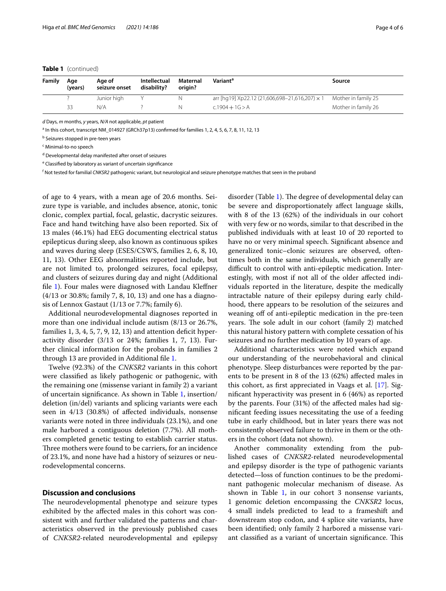#### **Table 1** (continued)

| Family | Age<br>(years) | Age of<br>seizure onset | Intellectual<br>disability? | Maternal<br>origin? | Variant <sup>a</sup>                                                      | Source              |
|--------|----------------|-------------------------|-----------------------------|---------------------|---------------------------------------------------------------------------|---------------------|
|        |                | Junior high             |                             |                     | arr [hq19] Xp22.12 (21,606,698-21,616,207) $\times$ 1 Mother in family 25 |                     |
|        | 33             | N/A                     |                             |                     | $c.1904 + 1G > A$                                                         | Mother in family 26 |

*d* Days, *m* months, *y* years, *N/A* not applicable, *pt* patient

<sup>a</sup> In this cohort, transcript NM\_014927 (GRCh37p13) confirmed for families 1, 2, 4, 5, 6, 7, 8, 11, 12, 13

<sup>b</sup> Seizures stopped in pre-teen years

<sup>c</sup> Minimal-to-no speech

<sup>d</sup> Developmental delay manifested after onset of seizures

<sup>e</sup> Classified by laboratory as variant of uncertain significance

f Not tested for familial *CNKSR2* pathogenic variant, but neurological and seizure phenotype matches that seen in the proband

of age to 4 years, with a mean age of 20.6 months. Seizure type is variable, and includes absence, atonic, tonic clonic, complex partial, focal, gelastic, dacrystic seizures. Face and hand twitching have also been reported. Six of 13 males (46.1%) had EEG documenting electrical status epilepticus during sleep, also known as continuous spikes and waves during sleep (ESES/CSWS, families 2, 6, 8, 10, 11, 13). Other EEG abnormalities reported include, but are not limited to, prolonged seizures, focal epilepsy, and clusters of seizures during day and night (Additional fle [1](#page-4-0)). Four males were diagnosed with Landau Klefner (4/13 or 30.8%; family 7, 8, 10, 13) and one has a diagnosis of Lennox Gastaut (1/13 or 7.7%; family 6).

Additional neurodevelopmental diagnoses reported in more than one individual include autism (8/13 or 26.7%, families  $1, 3, 4, 5, 7, 9, 12, 13$  and attention deficit hyperactivity disorder (3/13 or 24%; families 1, 7, 13). Further clinical information for the probands in families 2 through 13 are provided in Additional fle [1.](#page-4-0)

Twelve (92.3%) of the *CNKSR2* variants in this cohort were classifed as likely pathogenic or pathogenic, with the remaining one (missense variant in family 2) a variant of uncertain signifcance. As shown in Table [1](#page-2-0), insertion/ deletion (in/del) variants and splicing variants were each seen in 4/13 (30.8%) of afected individuals, nonsense variants were noted in three individuals (23.1%), and one male harbored a contiguous deletion (7.7%). All mothers completed genetic testing to establish carrier status. Three mothers were found to be carriers, for an incidence of 23.1%, and none have had a history of seizures or neurodevelopmental concerns.

### **Discussion and conclusions**

The neurodevelopmental phenotype and seizure types exhibited by the afected males in this cohort was consistent with and further validated the patterns and characteristics observed in the previously published cases of *CNKSR2-*related neurodevelopmental and epilepsy disorder (Table [1\)](#page-2-0). The degree of developmental delay can be severe and disproportionately afect language skills, with 8 of the 13 (62%) of the individuals in our cohort with very few or no words, similar to that described in the published individuals with at least 10 of 20 reported to have no or very minimal speech. Signifcant absence and generalized tonic–clonic seizures are observed, oftentimes both in the same individuals, which generally are difficult to control with anti-epileptic medication. Interestingly, with most if not all of the older afected individuals reported in the literature, despite the medically intractable nature of their epilepsy during early childhood, there appears to be resolution of the seizures and weaning off of anti-epileptic medication in the pre-teen years. The sole adult in our cohort (family 2) matched this natural history pattern with complete cessation of his seizures and no further medication by 10 years of age.

Additional characteristics were noted which expand our understanding of the neurobehavioral and clinical phenotype. Sleep disturbances were reported by the parents to be present in 8 of the 13 (62%) afected males in this cohort, as frst appreciated in Vaags et al. [\[17\]](#page-5-15). Signifcant hyperactivity was present in 6 (46%) as reported by the parents. Four (31%) of the afected males had signifcant feeding issues necessitating the use of a feeding tube in early childhood, but in later years there was not consistently observed failure to thrive in them or the others in the cohort (data not shown).

Another commonality extending from the published cases of *CNKSR2-*related neurodevelopmental and epilepsy disorder is the type of pathogenic variants detected—loss of function continues to be the predominant pathogenic molecular mechanism of disease. As shown in Table  $1$ , in our cohort 3 nonsense variants, 1 genomic deletion encompassing the *CNKSR2* locus, 4 small indels predicted to lead to a frameshift and downstream stop codon, and 4 splice site variants, have been identifed; only family 2 harbored a missense variant classified as a variant of uncertain significance. This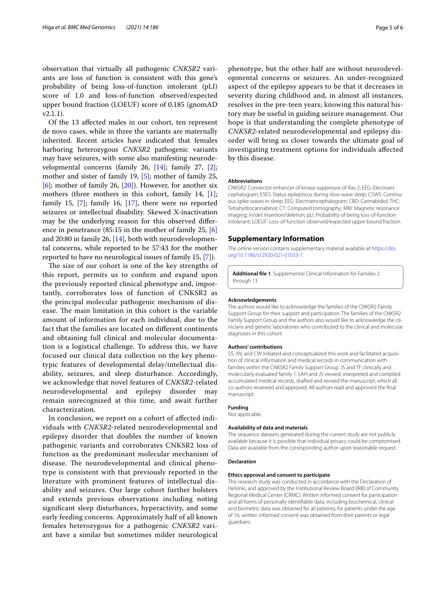observation that virtually all pathogenic *CNKSR2* variants are loss of function is consistent with this gene's probability of being loss-of-function intolerant (pLI) score of 1.0 and loss-of-function observed/expected upper bound fraction (LOEUF) score of 0.185 (gnomAD v2.1.1).

Of the 13 afected males in our cohort, ten represent de novo cases, while in three the variants are maternally inherited. Recent articles have indicated that females harboring heterozygous *CNKSR2* pathogenic variants may have seizures, with some also manifesting neurodevelopmental concerns (family 26, [[14](#page-5-17)]; family 27, [\[2](#page-5-11)]; mother and sister of family 19, [[5\]](#page-5-12); mother of family 25,  $[6]$  $[6]$ ; mother of family 26,  $[20]$  $[20]$ ). However, for another six mothers (three mothers in this cohort, family 14, [\[1](#page-5-10)]; family 15, [\[7](#page-5-9)]; family 16, [[17](#page-5-15)], there were no reported seizures or intellectual disability. Skewed X-inactivation may be the underlying reason for this observed diference in penetrance (85:15 in the mother of family 25, [\[6](#page-5-13)] and 20:80 in family 26, [[14](#page-5-17)], both with neurodevelopmental concerns, while reported to be 57:43 for the mother reported to have no neurological issues of family 15, [\[7](#page-5-9)]).

The size of our cohort is one of the key strengths of this report, permits us to confrm and expand upon the previously reported clinical phenotype and, importantly, corroborates loss of function of CNKSR2 as the principal molecular pathogenic mechanism of disease. The main limitation in this cohort is the variable amount of information for each individual, due to the fact that the families are located on diferent continents and obtaining full clinical and molecular documentation is a logistical challenge. To address this, we have focused our clinical data collection on the key phenotypic features of developmental delay/intellectual disability, seizures, and sleep disturbance. Accordingly, we acknowledge that novel features of *CNKSR2*-related neurodevelopmental and epilepsy disorder may remain unrecognized at this time, and await further characterization.

In conclusion, we report on a cohort of afected individuals with *CNKSR2-*related neurodevelopmental and epilepsy disorder that doubles the number of known pathogenic variants and corroborates CNKSR2 loss of function as the predominant molecular mechanism of disease. The neurodevelopmental and clinical phenotype is consistent with that previously reported in the literature with prominent features of intellectual disability and seizures. Our large cohort further bolsters and extends previous observations including noting signifcant sleep disturbances, hyperactivity, and some early feeding concerns. Approximately half of all known females heterozygous for a pathogenic *CNKSR2* variant have a similar but sometimes milder neurological

phenotype, but the other half are without neurodevelopmental concerns or seizures. An under-recognized aspect of the epilepsy appears to be that it decreases in severity during childhood and, in almost all instances, resolves in the pre-teen years; knowing this natural history may be useful in guiding seizure management. Our hope is that understanding the complete phenotype of *CNKSR2-*related neurodevelopmental and epilepsy disorder will bring us closer towards the ultimate goal of investigating treatment options for individuals afected by this disease.

#### **Abbreviations**

CNKSR2: Connector enhancer of kinase suppressor of Ras-2; EEG: Electroencephalogram; ESES: Status epilepticus during slow wave sleep; CSWS: Continuous spike waves in sleep; EEG: Electroencephalogram; CBD: Cannabidiol; THC: Tetrahydrocannabinol; CT: Computed tomography; MRI: Magnetic resonance imaging; in/del: Insertion/deletion; pLI: Probability of being loss-of-function intolerant; LOEUF: Loss-of-function observed/expected upper bound fraction.

#### **Supplementary Information**

The online version contains supplementary material available at [https://doi.](https://doi.org/10.1186/s12920-021-01033-7) [org/10.1186/s12920-021-01033-7](https://doi.org/10.1186/s12920-021-01033-7).

<span id="page-4-0"></span>**Additional fle 1**. Supplemental Clinical Information for Families 2 through 13

#### **Acknowledgements**

The authors would like to acknowledge the families of the CNKSR2 Family Support Group for their support and participation. The families of the CNKSR2 Family Support Group and the authors also would like to acknowledge the clinicians and genetic laboratories who contributed to the clinical and molecular diagnoses in this cohort.

#### **Authors' contributions**

SS, JW, and CW initiated and conceptualized this work and facilitated acquisition of clinical information and medical records in communication with families within the CNKSR2 Family Support Group. JS and TF clinically and molecularly evaluated family 1. LAH and JS viewed, interpreted and compiled accumulated medical records, drafted and revised the manuscript, which all co-authors reviewed and approved. All authors read and approved the fnal manuscript.

#### **Funding**

Not applicable.

#### **Availability of data and materials**

The sequence datasets generated during the current study are not publicly available because it is possible that individual privacy could be compromised. Data are available from the corresponding author upon reasonable request.

#### **Declaration**

#### **Ethics approval and consent to participate**

This research study was conducted in accordance with the Declaration of Helsinki, and approved by the Institutional Review Board (IRB) of Community Regional Medical Center (CRMC). Written informed consent for participation and all forms of personally identifable data, including biochemical, clinical and biometric data was obtained for all patients; for patients under the age of 16, written informed consent was obtained from their parents or legal guardians.